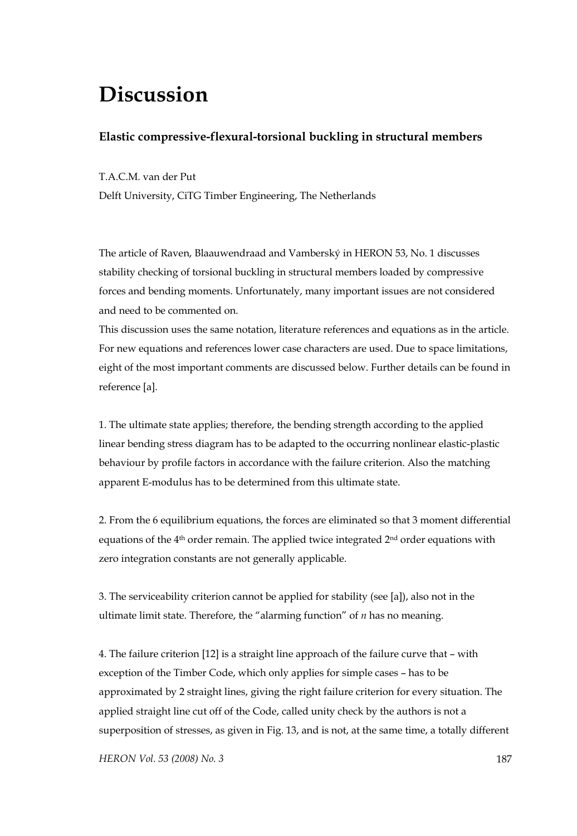## **Discussion**

## **Elastic compressive-flexural-torsional buckling in structural members**

T.A.C.M. van der Put

Delft University, CiTG Timber Engineering, The Netherlands

The article of Raven, Blaauwendraad and Vamberský in HERON 53, No. 1 discusses stability checking of torsional buckling in structural members loaded by compressive forces and bending moments. Unfortunately, many important issues are not considered and need to be commented on.

This discussion uses the same notation, literature references and equations as in the article. For new equations and references lower case characters are used. Due to space limitations, eight of the most important comments are discussed below. Further details can be found in reference [a].

1. The ultimate state applies; therefore, the bending strength according to the applied linear bending stress diagram has to be adapted to the occurring nonlinear elastic-plastic behaviour by profile factors in accordance with the failure criterion. Also the matching apparent E-modulus has to be determined from this ultimate state.

2. From the 6 equilibrium equations, the forces are eliminated so that 3 moment differential equations of the  $4<sup>th</sup>$  order remain. The applied twice integrated  $2<sup>nd</sup>$  order equations with zero integration constants are not generally applicable.

3. The serviceability criterion cannot be applied for stability (see [a]), also not in the ultimate limit state. Therefore, the "alarming function" of *n* has no meaning.

4. The failure criterion [12] is a straight line approach of the failure curve that – with exception of the Timber Code, which only applies for simple cases – has to be approximated by 2 straight lines, giving the right failure criterion for every situation. The applied straight line cut off of the Code, called unity check by the authors is not a superposition of stresses, as given in Fig. 13, and is not, at the same time, a totally different

*HERON Vol. 53 (2008) No. 3* 187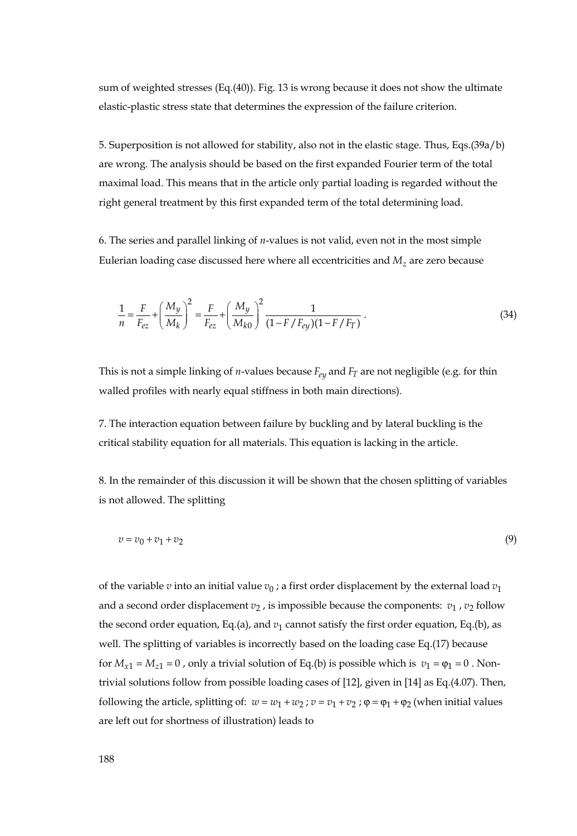sum of weighted stresses (Eq.(40)). Fig. 13 is wrong because it does not show the ultimate elastic-plastic stress state that determines the expression of the failure criterion.

5. Superposition is not allowed for stability, also not in the elastic stage. Thus, Eqs.(39a/b) are wrong. The analysis should be based on the first expanded Fourier term of the total maximal load. This means that in the article only partial loading is regarded without the right general treatment by this first expanded term of the total determining load.

6. The series and parallel linking of *n*-values is not valid, even not in the most simple Eulerian loading case discussed here where all eccentricities and  $M<sub>z</sub>$  are zero because

$$
\frac{1}{n} = \frac{F}{F_{ez}} + \left(\frac{M_y}{M_k}\right)^2 = \frac{F}{F_{ez}} + \left(\frac{M_y}{M_{k0}}\right)^2 \frac{1}{(1 - F/F_{ey})(1 - F/F_T)}.
$$
\n(34)

This is not a simple linking of *n*-values because  $F_{ev}$  and  $F_T$  are not negligible (e.g. for thin walled profiles with nearly equal stiffness in both main directions).

7. The interaction equation between failure by buckling and by lateral buckling is the critical stability equation for all materials. This equation is lacking in the article.

8. In the remainder of this discussion it will be shown that the chosen splitting of variables is not allowed. The splitting

$$
v = v_0 + v_1 + v_2 \tag{9}
$$

of the variable *v* into an initial value  $v_0$ ; a first order displacement by the external load  $v_1$ and a second order displacement  $v_2$ , is impossible because the components:  $v_1$ ,  $v_2$  follow the second order equation, Eq.(a), and  $v_1$  cannot satisfy the first order equation, Eq.(b), as well. The splitting of variables is incorrectly based on the loading case Eq.(17) because for  $M_{x1} = M_{z1} = 0$ , only a trivial solution of Eq.(b) is possible which is  $v_1 = \varphi_1 = 0$ . Nontrivial solutions follow from possible loading cases of [12], given in [14] as Eq.(4.07). Then, following the article, splitting of:  $w = w_1 + w_2$ ;  $v = v_1 + v_2$ ;  $\varphi = \varphi_1 + \varphi_2$  (when initial values are left out for shortness of illustration) leads to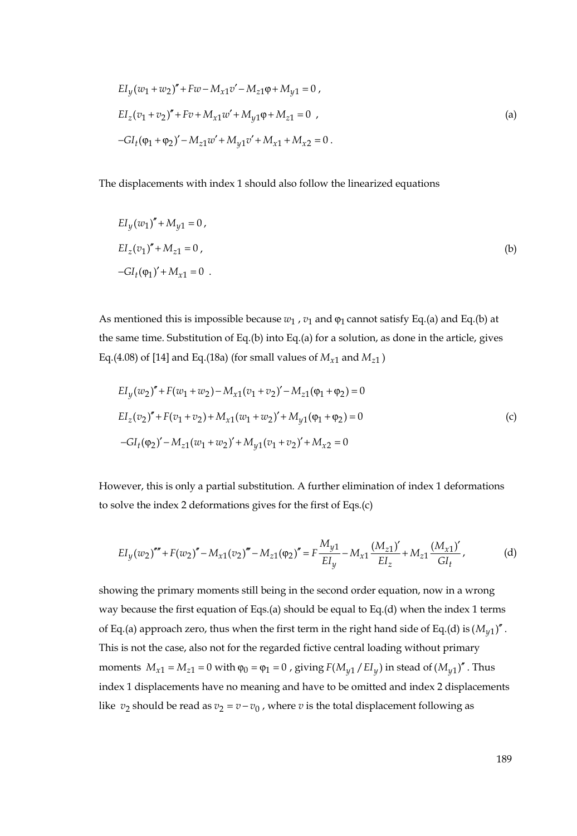$$
EI_y(w_1 + w_2)'' + Fw - M_{x1}v' - M_{z1}\varphi + M_{y1} = 0,
$$
  
\n
$$
EI_z(v_1 + v_2)'' + Fv + M_{x1}w' + M_{y1}\varphi + M_{z1} = 0,
$$
  
\n
$$
-GI_t(\varphi_1 + \varphi_2)' - M_{z1}w' + M_{y1}v' + M_{x1} + M_{x2} = 0.
$$
\n
$$
(a)
$$

The displacements with index 1 should also follow the linearized equations

$$
EI_{y}(w_{1})'' + M_{y1} = 0,
$$
  
\n
$$
EI_{z}(v_{1})'' + M_{z1} = 0,
$$
  
\n
$$
-GI_{t}(\varphi_{1})' + M_{x1} = 0.
$$
  
\n(b)

As mentioned this is impossible because  $w_1$ ,  $v_1$  and  $\varphi_1$  cannot satisfy Eq.(a) and Eq.(b) at the same time. Substitution of Eq.(b) into Eq.(a) for a solution, as done in the article, gives Eq.(4.08) of [14] and Eq.(18a) (for small values of  $M_{x1}$  and  $M_{z1}$ )

$$
EI_y(w_2)'' + F(w_1 + w_2) - M_{x1}(v_1 + v_2)' - M_{z1}(\varphi_1 + \varphi_2) = 0
$$
  
\n
$$
EI_z(v_2)'' + F(v_1 + v_2) + M_{x1}(w_1 + w_2)' + M_{y1}(\varphi_1 + \varphi_2) = 0
$$
  
\n
$$
-GI_t(\varphi_2)' - M_{z1}(w_1 + w_2)' + M_{y1}(v_1 + v_2)' + M_{x2} = 0
$$
\n(c)

However, this is only a partial substitution. A further elimination of index 1 deformations to solve the index 2 deformations gives for the first of Eqs.(c)

$$
EI_y(w_2)''' + F(w_2)'' - M_{x1}(v_2)''' - M_{z1}(\varphi_2)'' = F\frac{M_{y1}}{EI_y} - M_{x1}\frac{(M_{z1})'}{EI_z} + M_{z1}\frac{(M_{x1})'}{GI_t},
$$
 (d)

showing the primary moments still being in the second order equation, now in a wrong way because the first equation of Eqs.(a) should be equal to Eq.(d) when the index 1 terms of Eq.(a) approach zero, thus when the first term in the right hand side of Eq.(d) is  $(M_{\nu1})''$ . This is not the case, also not for the regarded fictive central loading without primary moments  $M_{x1} = M_{z1} = 0$  with  $\varphi_0 = \varphi_1 = 0$ , giving  $F(M_{y1}/EI_y)$  in stead of  $(M_{y1})''$ . Thus index 1 displacements have no meaning and have to be omitted and index 2 displacements like  $v_2$  should be read as  $v_2 = v - v_0$ , where *v* is the total displacement following as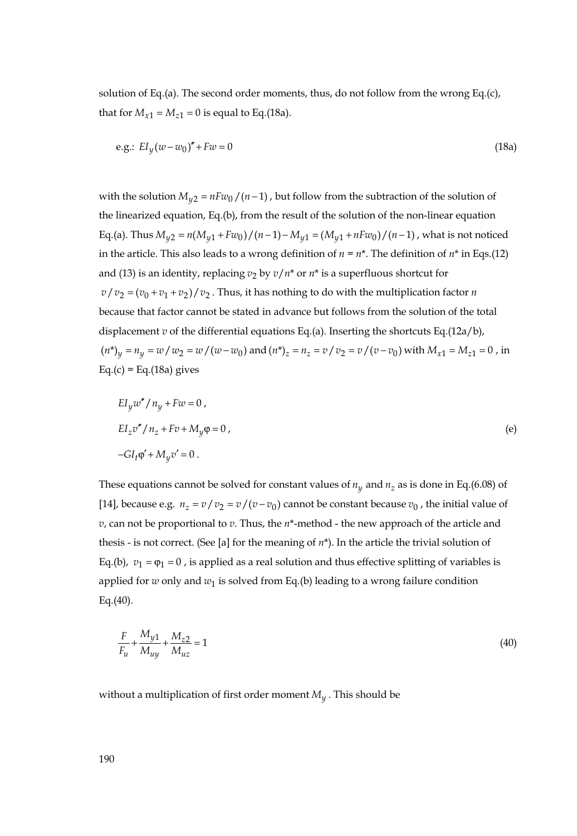solution of Eq.(a). The second order moments, thus, do not follow from the wrong Eq.(c), that for  $M_{x1} = M_{z1} = 0$  is equal to Eq.(18a).

e.g.: 
$$
E I_y (w - w_0)'' + F w = 0
$$
 (18a)

with the solution  $M_{u2} = nFw_0/(n-1)$ , but follow from the subtraction of the solution of the linearized equation, Eq.(b), from the result of the solution of the non-linear equation Eq.(a). Thus  $M_{v2} = n(M_{v1} + Fw_0)/(n-1) - M_{v1} = (M_{v1} + nFw_0)/(n-1)$ , what is not noticed in the article. This also leads to a wrong definition of  $n = n^*$ . The definition of  $n^*$  in Eqs.(12) and (13) is an identity, replacing  $v_2$  by  $v/n^*$  or  $n^*$  is a superfluous shortcut for  $v/v_2 = (v_0 + v_1 + v_2)/v_2$ . Thus, it has nothing to do with the multiplication factor *n* because that factor cannot be stated in advance but follows from the solution of the total displacement *v* of the differential equations Eq.(a). Inserting the shortcuts Eq.(12a/b),  $(n^*)_v = n_v = w/w_2 = w/(w-w_0)$  and  $(n^*)_z = n_z = v/v_2 = v/(v-v_0)$  with  $M_{x1} = M_{z1} = 0$ , in  $Eq.(c) = Eq.(18a) gives$ 

$$
EI_y w'' / n_y + Fw = 0,
$$
  
\n
$$
EI_z v'' / n_z + Fv + M_y \varphi = 0,
$$
  
\n
$$
-GI_t \varphi' + M_y v' = 0.
$$
  
\n(e)

These equations cannot be solved for constant values of  $n_y$  and  $n_z$  as is done in Eq.(6.08) of [14], because e.g.  $n_z = v/v_2 = v/(v-v_0)$  cannot be constant because  $v_0$ , the initial value of *v*, can not be proportional to *v*. Thus, the *n*\*-method - the new approach of the article and thesis - is not correct. (See [a] for the meaning of *n*\*). In the article the trivial solution of Eq.(b),  $v_1 = \varphi_1 = 0$ , is applied as a real solution and thus effective splitting of variables is applied for  $w$  only and  $w_1$  is solved from Eq.(b) leading to a wrong failure condition Eq. $(40)$ .

$$
\frac{F}{F_{u}} + \frac{M_{y1}}{M_{uy}} + \frac{M_{z2}}{M_{uz}} = 1
$$
\n(40)

without a multiplication of first order moment  $M_y$ . This should be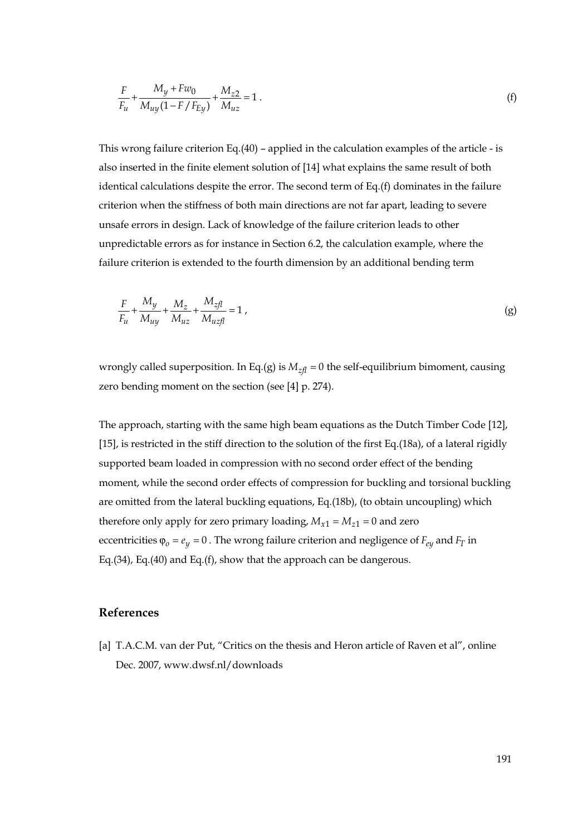$$
\frac{F}{F_u} + \frac{M_y + Fw_0}{M_{uy}(1 - F/F_{Ey})} + \frac{M_{z2}}{M_{uz}} = 1.
$$
 (f)

This wrong failure criterion Eq.(40) – applied in the calculation examples of the article - is also inserted in the finite element solution of [14] what explains the same result of both identical calculations despite the error. The second term of Eq.(f) dominates in the failure criterion when the stiffness of both main directions are not far apart, leading to severe unsafe errors in design. Lack of knowledge of the failure criterion leads to other unpredictable errors as for instance in Section 6.2, the calculation example, where the failure criterion is extended to the fourth dimension by an additional bending term

$$
\frac{F}{F_{u}} + \frac{M_{y}}{M_{uy}} + \frac{M_{z}}{M_{uz}} + \frac{M_{zfl}}{M_{uzfl}} = 1,
$$
\n(g)

wrongly called superposition. In Eq.(g) is  $M_{zfl} = 0$  the self-equilibrium bimoment, causing zero bending moment on the section (see [4] p. 274).

The approach, starting with the same high beam equations as the Dutch Timber Code [12], [15], is restricted in the stiff direction to the solution of the first Eq.(18a), of a lateral rigidly supported beam loaded in compression with no second order effect of the bending moment, while the second order effects of compression for buckling and torsional buckling are omitted from the lateral buckling equations, Eq.(18b), (to obtain uncoupling) which therefore only apply for zero primary loading,  $M_{x1} = M_{z1} = 0$  and zero eccentricities  $\varphi_0 = e_y = 0$ . The wrong failure criterion and negligence of  $F_{e y}$  and  $F_T$  in Eq.(34), Eq.(40) and Eq.(f), show that the approach can be dangerous.

## **References**

[a] T.A.C.M. van der Put, "Critics on the thesis and Heron article of Raven et al", online Dec. 2007, www.dwsf.nl/downloads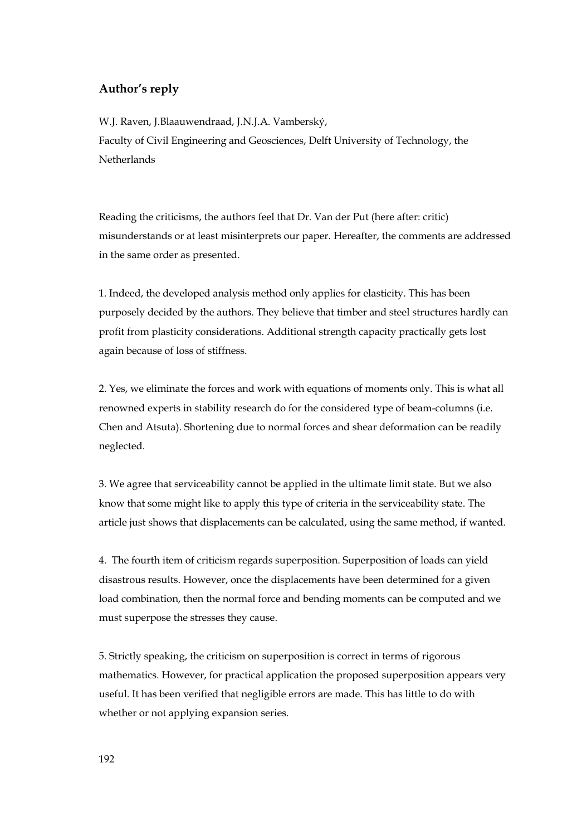## **Author's reply**

W.J. Raven, J.Blaauwendraad, J.N.J.A. Vamberský, Faculty of Civil Engineering and Geosciences, Delft University of Technology, the **Netherlands** 

Reading the criticisms, the authors feel that Dr. Van der Put (here after: critic) misunderstands or at least misinterprets our paper. Hereafter, the comments are addressed in the same order as presented.

1. Indeed, the developed analysis method only applies for elasticity. This has been purposely decided by the authors. They believe that timber and steel structures hardly can profit from plasticity considerations. Additional strength capacity practically gets lost again because of loss of stiffness.

2. Yes, we eliminate the forces and work with equations of moments only. This is what all renowned experts in stability research do for the considered type of beam-columns (i.e. Chen and Atsuta). Shortening due to normal forces and shear deformation can be readily neglected.

3. We agree that serviceability cannot be applied in the ultimate limit state. But we also know that some might like to apply this type of criteria in the serviceability state. The article just shows that displacements can be calculated, using the same method, if wanted.

4. The fourth item of criticism regards superposition. Superposition of loads can yield disastrous results. However, once the displacements have been determined for a given load combination, then the normal force and bending moments can be computed and we must superpose the stresses they cause.

5. Strictly speaking, the criticism on superposition is correct in terms of rigorous mathematics. However, for practical application the proposed superposition appears very useful. It has been verified that negligible errors are made. This has little to do with whether or not applying expansion series.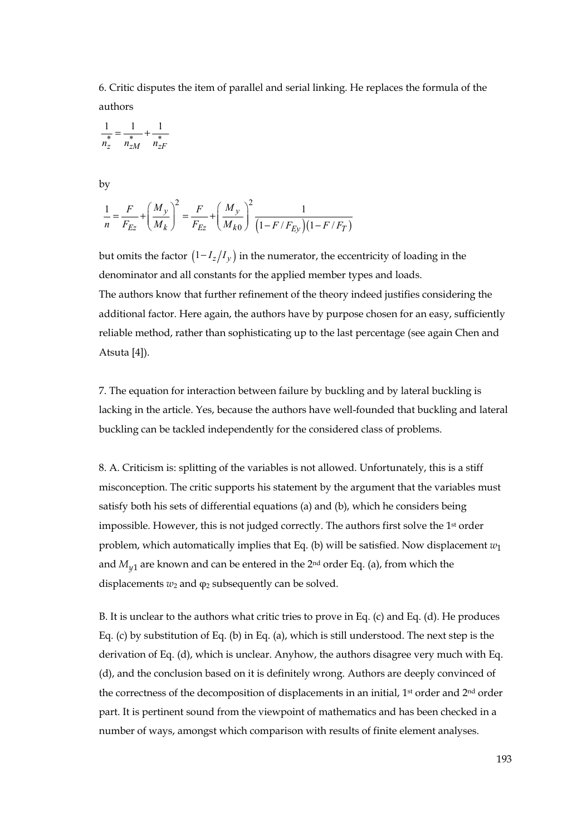6. Critic disputes the item of parallel and serial linking. He replaces the formula of the authors

$$
\frac{1}{n_z^*} = \frac{1}{n_{zM}^*} + \frac{1}{n_{zF}^*}
$$

by

$$
\frac{1}{n} = \frac{F}{F_{Ez}} + \left(\frac{M_y}{M_k}\right)^2 = \frac{F}{F_{Ez}} + \left(\frac{M_y}{M_{k0}}\right)^2 \frac{1}{\left(1 - F/F_{Ey}\right)\left(1 - F/F_T\right)}
$$

but omits the factor  $(1 - I_z/I_y)$  in the numerator, the eccentricity of loading in the denominator and all constants for the applied member types and loads. The authors know that further refinement of the theory indeed justifies considering the additional factor. Here again, the authors have by purpose chosen for an easy, sufficiently reliable method, rather than sophisticating up to the last percentage (see again Chen and Atsuta [4]).

7. The equation for interaction between failure by buckling and by lateral buckling is lacking in the article. Yes, because the authors have well-founded that buckling and lateral buckling can be tackled independently for the considered class of problems.

8. A. Criticism is: splitting of the variables is not allowed. Unfortunately, this is a stiff misconception. The critic supports his statement by the argument that the variables must satisfy both his sets of differential equations (a) and (b), which he considers being impossible. However, this is not judged correctly. The authors first solve the 1st order problem, which automatically implies that Eq. (b) will be satisfied. Now displacement  $w_1$ and  $M_{v1}$  are known and can be entered in the 2<sup>nd</sup> order Eq. (a), from which the displacements  $w_2$  and  $\varphi_2$  subsequently can be solved.

B. It is unclear to the authors what critic tries to prove in Eq. (c) and Eq. (d). He produces Eq. (c) by substitution of Eq. (b) in Eq. (a), which is still understood. The next step is the derivation of Eq. (d), which is unclear. Anyhow, the authors disagree very much with Eq. (d), and the conclusion based on it is definitely wrong. Authors are deeply convinced of the correctness of the decomposition of displacements in an initial, 1st order and 2nd order part. It is pertinent sound from the viewpoint of mathematics and has been checked in a number of ways, amongst which comparison with results of finite element analyses.